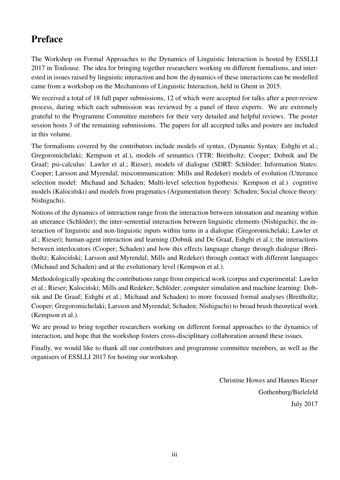## Preface

The Workshop on Formal Approaches to the Dynamics of Linguistic Interaction is hosted by ESSLLI 2017 in Toulouse. The idea for bringing together researchers working on different formalisms, and interested in issues raised by linguistic interaction and how the dynamics of these interactions can be modelled came from a workshop on the Mechanisms of Linguistic Interaction, held in Ghent in 2015.

We received a total of 18 full paper submissions, 12 of which were accepted for talks after a peer-review process, during which each submission was reviewed by a panel of three experts. We are extremely grateful to the Programme Committee members for their very detailed and helpful reviews. The poster session hosts 3 of the remaining submissions. The papers for all accepted talks and posters are included in this volume.

The formalisms covered by the contributors include models of syntax, (Dynamic Syntax: Eshghi et al.; Gregoromichelaki; Kempson et al.), models of semantics (TTR: Breitholtz; Cooper; Dobnik and De Graaf; psi-calculus: Lawler et al.; Rieser), models of dialogue (SDRT: Schlöder; Information States: Cooper; Larsson and Myrendal; miscommunication: Mills and Redeker) models of evolution (Utterance selection model: Michaud and Schaden; Multi-level selection hypothesis: Kempson et al.) cognitive models (Kalociński) and models from pragmatics (Argumentation theory: Schaden; Social choice theory: Nishiguchi).

Notions of the dynamics of interaction range from the interaction between intonation and meaning within an utterance (Schlöder); the inter-sentential interaction between linguistic elements (Nishiguchi); the interaction of linguistic and non-linguistic inputs within turns in a dialogue (Gregoromichelaki; Lawler et al.; Rieser); human-agent interaction and learning (Dobnik and De Graaf, Eshghi et al.); the interactions between interlocutors (Cooper; Schaden) and how this effects language change through dialogue (Breitholtz; Kalociński; Larsson and Myrendal; Mills and Redeker) through contact with different languages (Michaud and Schaden) and at the evolutionary level (Kempson et al.).

Methodologically speaking the contributions range from empirical work (corpus and experimental: Lawler et al.; Rieser; Kalociński; Mills and Redeker; Schlöder; computer simulation and machine learning: Dobnik and De Graaf; Eshghi et al.; Michaud and Schaden) to more focussed formal analyses (Breitholtz; Cooper; Gregoromichelaki; Larsson and Myrendal; Schaden; Nishiguchi) to broad brush theoretical work (Kempson et al.).

We are proud to bring together researchers working on different formal approaches to the dynamics of interaction, and hope that the workshop fosters cross-disciplinary collaboration around these issues.

Finally, we would like to thank all our contributors and programme committee members, as well as the organisers of ESSLLI 2017 for hosting our workshop.

> Christine Howes and Hannes Rieser Gothenburg/Bielefeld July 2017